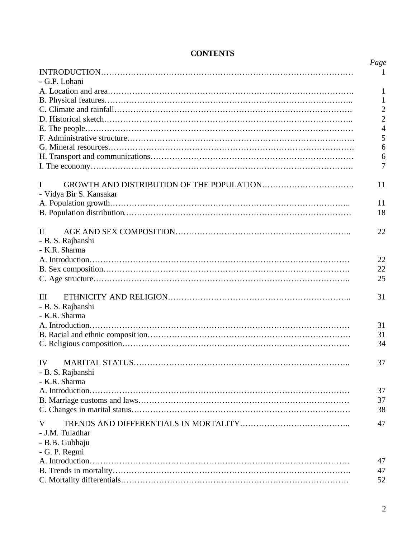|                         | Page           |
|-------------------------|----------------|
|                         | 1              |
| - G.P. Lohani           |                |
|                         | 1              |
|                         | 1              |
|                         | $\mathbf{2}$   |
|                         | $\overline{2}$ |
|                         | $\overline{4}$ |
|                         | 5              |
|                         | 6              |
|                         | 6              |
|                         | $\overline{7}$ |
| I                       | 11             |
| - Vidya Bir S. Kansakar |                |
|                         | 11             |
|                         | 18             |
|                         |                |
| $\Pi$                   | 22             |
| - B. S. Rajbanshi       |                |
| - K.R. Sharma           |                |
|                         | 22             |
|                         | 22             |
|                         | 25             |
|                         |                |
| III                     | 31             |
| - B. S. Rajbanshi       |                |
| - K.R. Sharma           |                |
|                         | 31             |
|                         | 31             |
|                         | 34             |
| IV —                    | 37             |
| - B. S. Rajbanshi       |                |
| - K.R. Sharma           |                |
|                         | 37             |
|                         | 37             |
|                         | 38             |
|                         |                |
| V                       | 47             |
| - J.M. Tuladhar         |                |
| - B.B. Gubhaju          |                |
| - G. P. Regmi           |                |
|                         | 47             |
|                         | 47             |
|                         | 52             |

## **CONTENTS**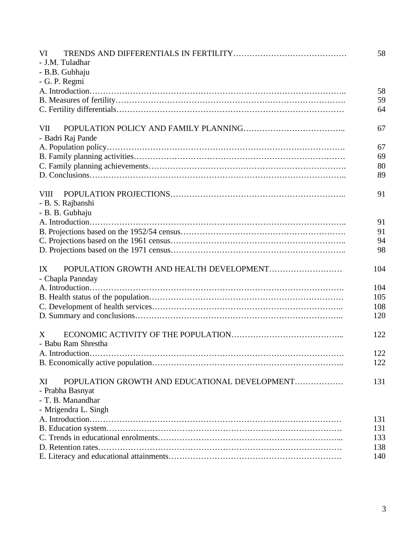| VI                                                  | 58  |
|-----------------------------------------------------|-----|
| - J.M. Tuladhar                                     |     |
| - B.B. Gubhaju                                      |     |
| - G. P. Regmi                                       |     |
|                                                     | 58  |
|                                                     | 59  |
|                                                     | 64  |
| <b>VII</b>                                          | 67  |
| - Badri Raj Pande                                   |     |
|                                                     | 67  |
|                                                     | 69  |
|                                                     | 80  |
|                                                     | 89  |
| <b>VIII</b><br>- B. S. Rajbanshi                    | 91  |
| - B. B. Gubhaju                                     |     |
|                                                     | 91  |
|                                                     | 91  |
|                                                     | 94  |
|                                                     | 98  |
| POPULATION GROWTH AND HEALTH DEVELOPMENT<br>IX      | 104 |
| - Chapla Pannday                                    |     |
|                                                     | 104 |
|                                                     | 105 |
|                                                     | 108 |
|                                                     | 120 |
| X                                                   | 122 |
| - Babu Ram Shrestha                                 |     |
|                                                     | 122 |
|                                                     | 122 |
| POPULATION GROWTH AND EDUCATIONAL DEVELOPMENT<br>XI | 131 |
| - Prabha Basnyat                                    |     |
| - T. B. Manandhar                                   |     |
| - Mrigendra L. Singh                                |     |
|                                                     | 131 |
|                                                     | 131 |
|                                                     | 133 |
|                                                     | 138 |
|                                                     | 140 |
|                                                     |     |